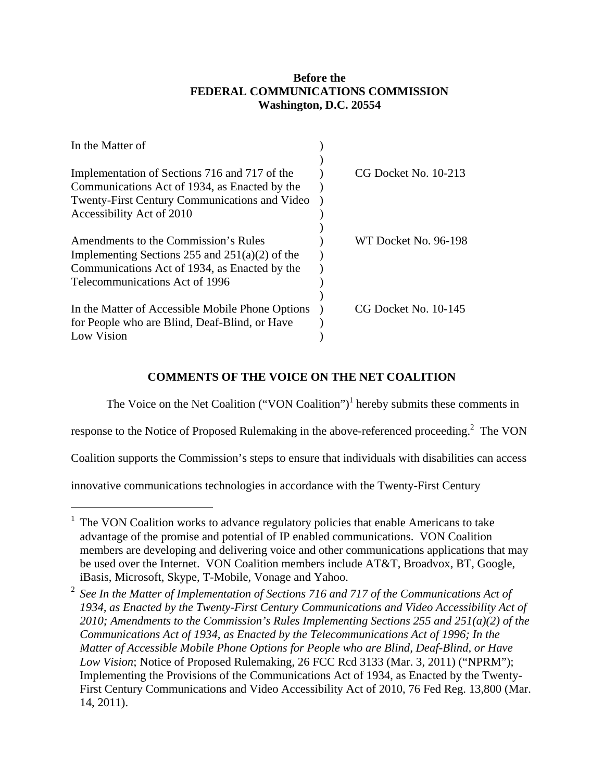# **Before the FEDERAL COMMUNICATIONS COMMISSION Washington, D.C. 20554**

| In the Matter of                                     |                      |
|------------------------------------------------------|----------------------|
|                                                      |                      |
| Implementation of Sections 716 and 717 of the        | CG Docket No. 10-213 |
| Communications Act of 1934, as Enacted by the        |                      |
| <b>Twenty-First Century Communications and Video</b> |                      |
| Accessibility Act of 2010                            |                      |
|                                                      |                      |
| Amendments to the Commission's Rules                 | WT Docket No. 96-198 |
| Implementing Sections 255 and $251(a)(2)$ of the     |                      |
| Communications Act of 1934, as Enacted by the        |                      |
| Telecommunications Act of 1996                       |                      |
|                                                      |                      |
| In the Matter of Accessible Mobile Phone Options     | CG Docket No. 10-145 |
| for People who are Blind, Deaf-Blind, or Have        |                      |
| Low Vision                                           |                      |

# **COMMENTS OF THE VOICE ON THE NET COALITION**

The Voice on the Net Coalition ("VON Coalition")<sup>1</sup> hereby submits these comments in

response to the Notice of Proposed Rulemaking in the above-referenced proceeding.<sup>2</sup> The VON

Coalition supports the Commission's steps to ensure that individuals with disabilities can access

innovative communications technologies in accordance with the Twenty-First Century

<sup>&</sup>lt;sup>1</sup> The VON Coalition works to advance regulatory policies that enable Americans to take advantage of the promise and potential of IP enabled communications. VON Coalition members are developing and delivering voice and other communications applications that may be used over the Internet. VON Coalition members include AT&T, Broadvox, BT, Google, iBasis, Microsoft, Skype, T-Mobile, Vonage and Yahoo.

<sup>&</sup>lt;sup>2</sup> See In the Matter of Implementation of Sections 716 and 717 of the Communications Act of *1934, as Enacted by the Twenty-First Century Communications and Video Accessibility Act of 2010; Amendments to the Commission's Rules Implementing Sections 255 and 251(a)(2) of the Communications Act of 1934, as Enacted by the Telecommunications Act of 1996; In the Matter of Accessible Mobile Phone Options for People who are Blind, Deaf-Blind, or Have Low Vision*; Notice of Proposed Rulemaking, 26 FCC Rcd 3133 (Mar. 3, 2011) ("NPRM"); Implementing the Provisions of the Communications Act of 1934, as Enacted by the Twenty-First Century Communications and Video Accessibility Act of 2010, 76 Fed Reg. 13,800 (Mar. 14, 2011).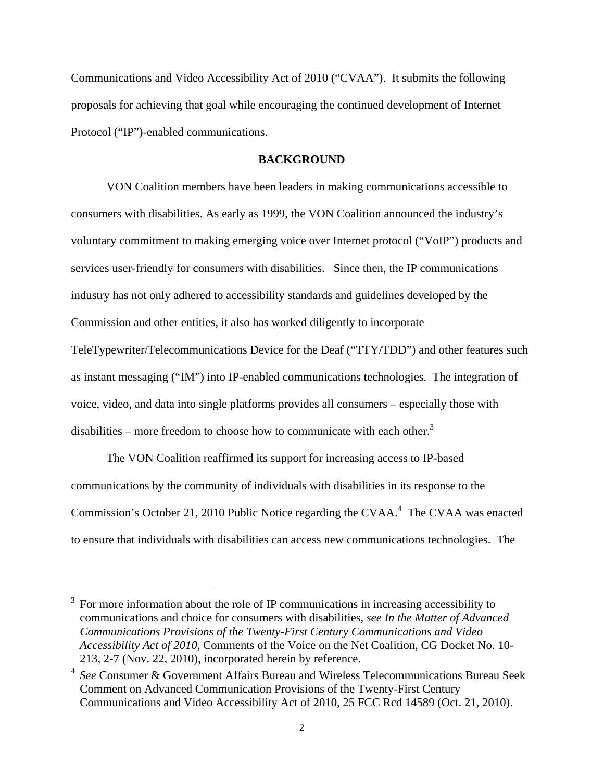Communications and Video Accessibility Act of 2010 ("CVAA"). It submits the following proposals for achieving that goal while encouraging the continued development of Internet Protocol ("IP")-enabled communications.

#### **BACKGROUND**

VON Coalition members have been leaders in making communications accessible to consumers with disabilities. As early as 1999, the VON Coalition announced the industry's voluntary commitment to making emerging voice over Internet protocol ("VoIP") products and services user-friendly for consumers with disabilities. Since then, the IP communications industry has not only adhered to accessibility standards and guidelines developed by the Commission and other entities, it also has worked diligently to incorporate TeleTypewriter/Telecommunications Device for the Deaf ("TTY/TDD") and other features such as instant messaging ("IM") into IP-enabled communications technologies. The integration of voice, video, and data into single platforms provides all consumers – especially those with disabilities – more freedom to choose how to communicate with each other.<sup>3</sup>

The VON Coalition reaffirmed its support for increasing access to IP-based communications by the community of individuals with disabilities in its response to the Commission's October 21, 2010 Public Notice regarding the CVAA. $4$  The CVAA was enacted to ensure that individuals with disabilities can access new communications technologies. The

<sup>3</sup> For more information about the role of IP communications in increasing accessibility to communications and choice for consumers with disabilities*, see In the Matter of Advanced Communications Provisions of the Twenty-First Century Communications and Video Accessibility Act of 2010*, Comments of the Voice on the Net Coalition, CG Docket No. 10- 213, 2-7 (Nov. 22, 2010), incorporated herein by reference.

<sup>4</sup> *See* Consumer & Government Affairs Bureau and Wireless Telecommunications Bureau Seek Comment on Advanced Communication Provisions of the Twenty-First Century Communications and Video Accessibility Act of 2010, 25 FCC Rcd 14589 (Oct. 21, 2010).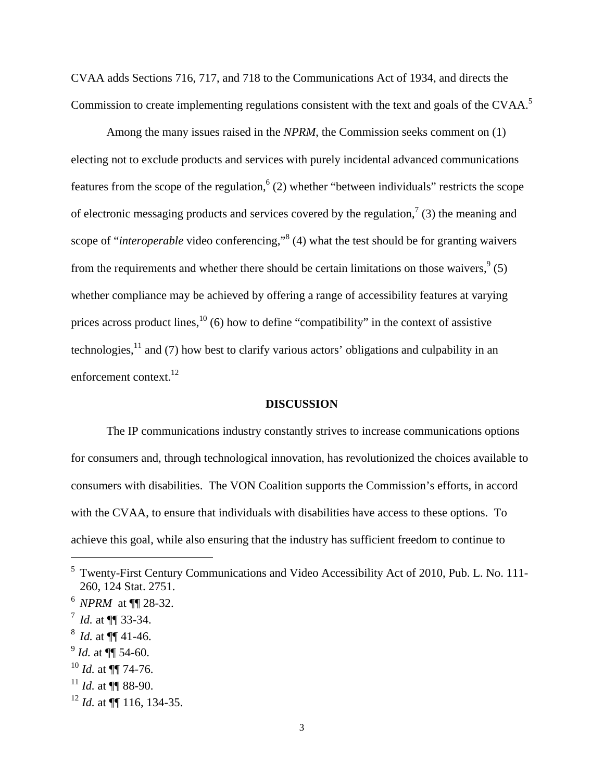CVAA adds Sections 716, 717, and 718 to the Communications Act of 1934, and directs the Commission to create implementing regulations consistent with the text and goals of the CVAA.<sup>5</sup>

Among the many issues raised in the *NPRM*, the Commission seeks comment on (1) electing not to exclude products and services with purely incidental advanced communications features from the scope of the regulation,  $(2)$  whether "between individuals" restricts the scope of electronic messaging products and services covered by the regulation,<sup>7</sup> (3) the meaning and scope of "*interoperable* video conferencing,"<sup>8</sup> (4) what the test should be for granting waivers from the requirements and whether there should be certain limitations on those waivers,  $9<sup>9</sup>(5)$ whether compliance may be achieved by offering a range of accessibility features at varying prices across product lines,  $^{10}$  (6) how to define "compatibility" in the context of assistive technologies, $^{11}$  and (7) how best to clarify various actors' obligations and culpability in an enforcement context.<sup>12</sup>

#### **DISCUSSION**

The IP communications industry constantly strives to increase communications options for consumers and, through technological innovation, has revolutionized the choices available to consumers with disabilities. The VON Coalition supports the Commission's efforts, in accord with the CVAA, to ensure that individuals with disabilities have access to these options. To achieve this goal, while also ensuring that the industry has sufficient freedom to continue to

- $^{9}$  *Id.* at  $\P\P$  54-60.
- <sup>10</sup> *Id.* at ¶¶ 74-76.
- <sup>11</sup> *Id.* at ¶¶ 88-90.

<sup>&</sup>lt;sup>5</sup> Twenty-First Century Communications and Video Accessibility Act of 2010, Pub. L. No. 111-260, 124 Stat. 2751.

<sup>6</sup> *NPRM* at ¶¶ 28-32.

 $^7$  *Id.* at  $\P\P$  33-34.

 $^8$  *Id.* at  $\P\P$  41-46.

<sup>12</sup> *Id.* at ¶¶ 116, 134-35.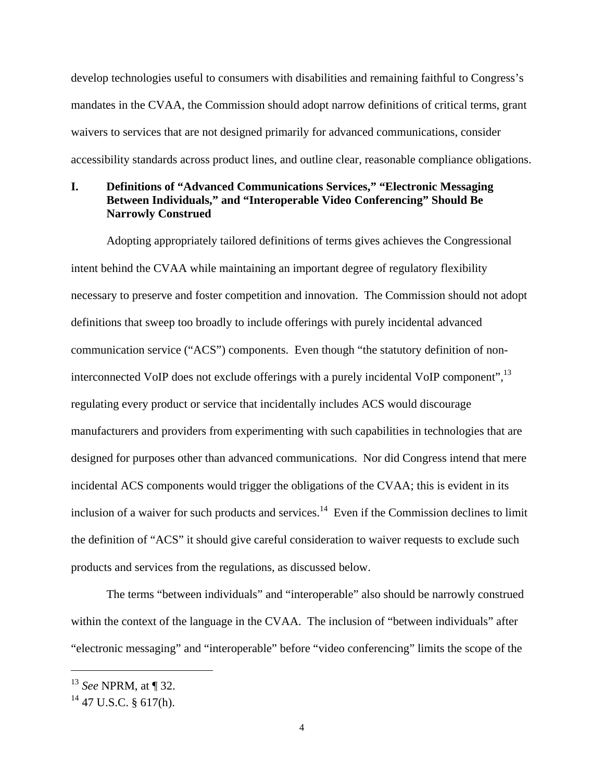develop technologies useful to consumers with disabilities and remaining faithful to Congress's mandates in the CVAA, the Commission should adopt narrow definitions of critical terms, grant waivers to services that are not designed primarily for advanced communications, consider accessibility standards across product lines, and outline clear, reasonable compliance obligations.

# **I. Definitions of "Advanced Communications Services," "Electronic Messaging Between Individuals," and "Interoperable Video Conferencing" Should Be Narrowly Construed**

Adopting appropriately tailored definitions of terms gives achieves the Congressional intent behind the CVAA while maintaining an important degree of regulatory flexibility necessary to preserve and foster competition and innovation. The Commission should not adopt definitions that sweep too broadly to include offerings with purely incidental advanced communication service ("ACS") components. Even though "the statutory definition of noninterconnected VoIP does not exclude offerings with a purely incidental VoIP component",<sup>13</sup> regulating every product or service that incidentally includes ACS would discourage manufacturers and providers from experimenting with such capabilities in technologies that are designed for purposes other than advanced communications. Nor did Congress intend that mere incidental ACS components would trigger the obligations of the CVAA; this is evident in its inclusion of a waiver for such products and services.<sup>14</sup> Even if the Commission declines to limit the definition of "ACS" it should give careful consideration to waiver requests to exclude such products and services from the regulations, as discussed below.

The terms "between individuals" and "interoperable" also should be narrowly construed within the context of the language in the CVAA. The inclusion of "between individuals" after "electronic messaging" and "interoperable" before "video conferencing" limits the scope of the

<sup>13</sup> *See* NPRM, at ¶ 32.

 $14$  47 U.S.C. § 617(h).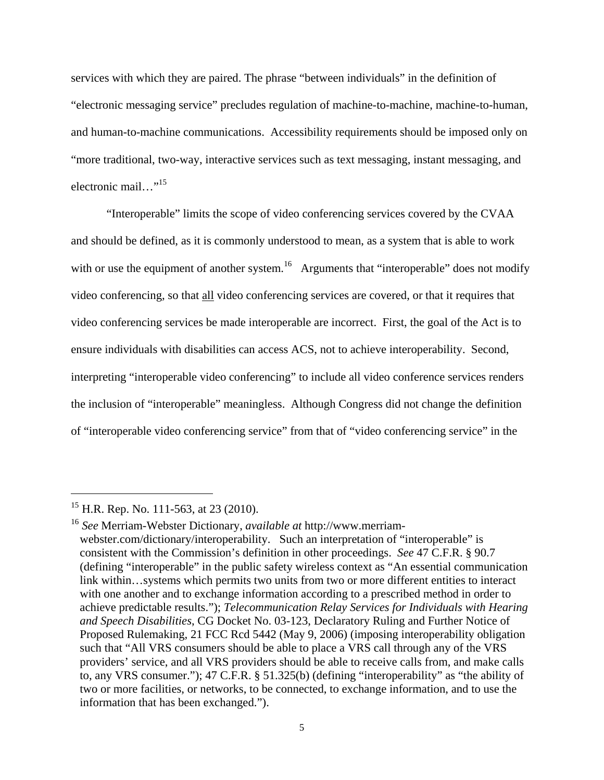services with which they are paired. The phrase "between individuals" in the definition of "electronic messaging service" precludes regulation of machine-to-machine, machine-to-human, and human-to-machine communications. Accessibility requirements should be imposed only on "more traditional, two-way, interactive services such as text messaging, instant messaging, and electronic mail…"15

"Interoperable" limits the scope of video conferencing services covered by the CVAA and should be defined, as it is commonly understood to mean, as a system that is able to work with or use the equipment of another system.<sup>16</sup> Arguments that "interoperable" does not modify video conferencing, so that all video conferencing services are covered, or that it requires that video conferencing services be made interoperable are incorrect. First, the goal of the Act is to ensure individuals with disabilities can access ACS, not to achieve interoperability. Second, interpreting "interoperable video conferencing" to include all video conference services renders the inclusion of "interoperable" meaningless. Although Congress did not change the definition of "interoperable video conferencing service" from that of "video conferencing service" in the

1

<sup>&</sup>lt;sup>15</sup> H.R. Rep. No. 111-563, at 23 (2010).

<sup>16</sup> *See* Merriam-Webster Dictionary, *available at* http://www.merriamwebster.com/dictionary/interoperability. Such an interpretation of "interoperable" is consistent with the Commission's definition in other proceedings. *See* 47 C.F.R. § 90.7 (defining "interoperable" in the public safety wireless context as "An essential communication link within…systems which permits two units from two or more different entities to interact with one another and to exchange information according to a prescribed method in order to achieve predictable results."); *Telecommunication Relay Services for Individuals with Hearing and Speech Disabilities*, CG Docket No. 03-123, Declaratory Ruling and Further Notice of Proposed Rulemaking, 21 FCC Rcd 5442 (May 9, 2006) (imposing interoperability obligation such that "All VRS consumers should be able to place a VRS call through any of the VRS providers' service, and all VRS providers should be able to receive calls from, and make calls to, any VRS consumer."); 47 C.F.R. § 51.325(b) (defining "interoperability" as "the ability of two or more facilities, or networks, to be connected, to exchange information, and to use the information that has been exchanged.").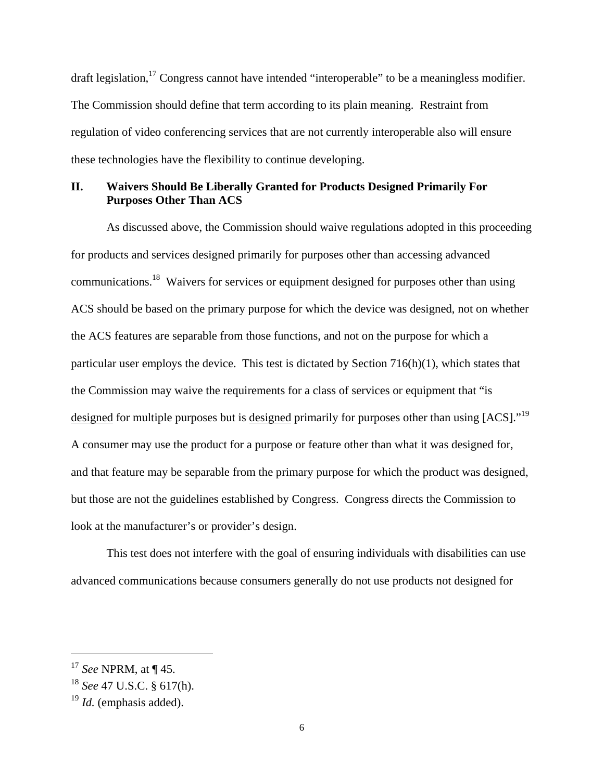draft legislation,<sup>17</sup> Congress cannot have intended "interoperable" to be a meaningless modifier. The Commission should define that term according to its plain meaning. Restraint from regulation of video conferencing services that are not currently interoperable also will ensure these technologies have the flexibility to continue developing.

### **II. Waivers Should Be Liberally Granted for Products Designed Primarily For Purposes Other Than ACS**

As discussed above, the Commission should waive regulations adopted in this proceeding for products and services designed primarily for purposes other than accessing advanced communications.18 Waivers for services or equipment designed for purposes other than using ACS should be based on the primary purpose for which the device was designed, not on whether the ACS features are separable from those functions, and not on the purpose for which a particular user employs the device. This test is dictated by Section 716(h)(1), which states that the Commission may waive the requirements for a class of services or equipment that "is designed for multiple purposes but is designed primarily for purposes other than using [ACS]."<sup>19</sup> A consumer may use the product for a purpose or feature other than what it was designed for, and that feature may be separable from the primary purpose for which the product was designed, but those are not the guidelines established by Congress. Congress directs the Commission to look at the manufacturer's or provider's design.

This test does not interfere with the goal of ensuring individuals with disabilities can use advanced communications because consumers generally do not use products not designed for

1

<sup>17</sup> *See* NPRM, at ¶ 45.

<sup>18</sup> *See* 47 U.S.C. § 617(h).

<sup>19</sup> *Id.* (emphasis added).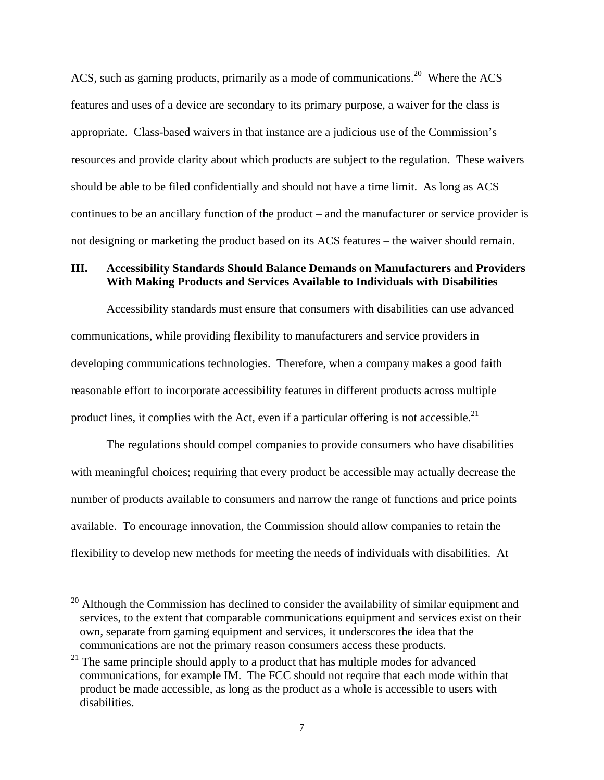ACS, such as gaming products, primarily as a mode of communications.<sup>20</sup> Where the ACS features and uses of a device are secondary to its primary purpose, a waiver for the class is appropriate. Class-based waivers in that instance are a judicious use of the Commission's resources and provide clarity about which products are subject to the regulation. These waivers should be able to be filed confidentially and should not have a time limit. As long as ACS continues to be an ancillary function of the product – and the manufacturer or service provider is not designing or marketing the product based on its ACS features – the waiver should remain.

### **III. Accessibility Standards Should Balance Demands on Manufacturers and Providers With Making Products and Services Available to Individuals with Disabilities**

Accessibility standards must ensure that consumers with disabilities can use advanced communications, while providing flexibility to manufacturers and service providers in developing communications technologies. Therefore, when a company makes a good faith reasonable effort to incorporate accessibility features in different products across multiple product lines, it complies with the Act, even if a particular offering is not accessible.<sup>21</sup>

The regulations should compel companies to provide consumers who have disabilities with meaningful choices; requiring that every product be accessible may actually decrease the number of products available to consumers and narrow the range of functions and price points available. To encourage innovation, the Commission should allow companies to retain the flexibility to develop new methods for meeting the needs of individuals with disabilities. At

 $20$  Although the Commission has declined to consider the availability of similar equipment and services, to the extent that comparable communications equipment and services exist on their own, separate from gaming equipment and services, it underscores the idea that the communications are not the primary reason consumers access these products.

<sup>&</sup>lt;sup>21</sup> The same principle should apply to a product that has multiple modes for advanced communications, for example IM. The FCC should not require that each mode within that product be made accessible, as long as the product as a whole is accessible to users with disabilities.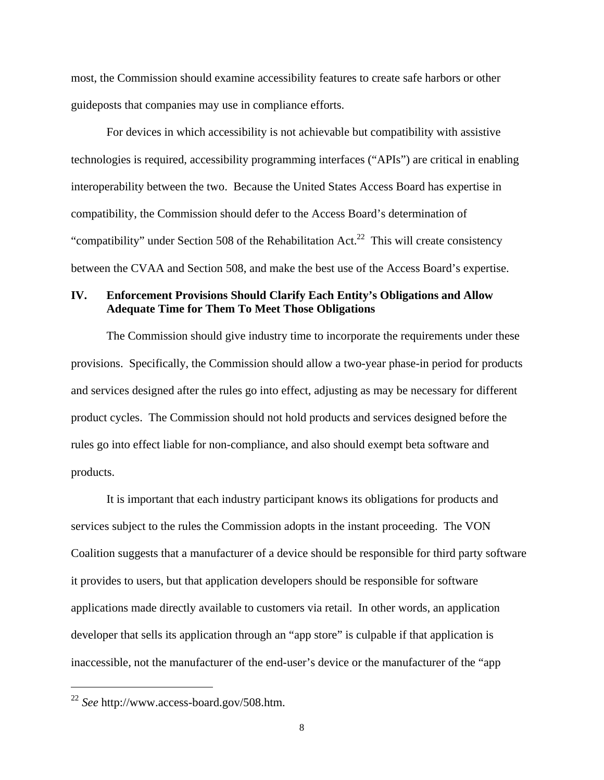most, the Commission should examine accessibility features to create safe harbors or other guideposts that companies may use in compliance efforts.

For devices in which accessibility is not achievable but compatibility with assistive technologies is required, accessibility programming interfaces ("APIs") are critical in enabling interoperability between the two. Because the United States Access Board has expertise in compatibility, the Commission should defer to the Access Board's determination of "compatibility" under Section 508 of the Rehabilitation Act.<sup>22</sup> This will create consistency between the CVAA and Section 508, and make the best use of the Access Board's expertise.

### **IV. Enforcement Provisions Should Clarify Each Entity's Obligations and Allow Adequate Time for Them To Meet Those Obligations**

The Commission should give industry time to incorporate the requirements under these provisions. Specifically, the Commission should allow a two-year phase-in period for products and services designed after the rules go into effect, adjusting as may be necessary for different product cycles. The Commission should not hold products and services designed before the rules go into effect liable for non-compliance, and also should exempt beta software and products.

It is important that each industry participant knows its obligations for products and services subject to the rules the Commission adopts in the instant proceeding. The VON Coalition suggests that a manufacturer of a device should be responsible for third party software it provides to users, but that application developers should be responsible for software applications made directly available to customers via retail. In other words, an application developer that sells its application through an "app store" is culpable if that application is inaccessible, not the manufacturer of the end-user's device or the manufacturer of the "app

<sup>22</sup> *See* http://www.access-board.gov/508.htm.